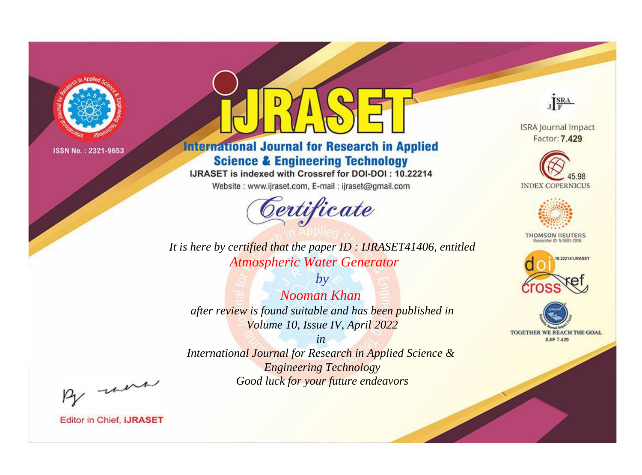

# **International Journal for Research in Applied Science & Engineering Technology**

IJRASET is indexed with Crossref for DOI-DOI: 10.22214

Website: www.ijraset.com, E-mail: ijraset@gmail.com



**ISRA Journal Impact** Factor: 7.429

JERA





**THOMSON REUTERS** 



TOGETHER WE REACH THE GOAL **SJIF 7.429** 

*It is here by certified that the paper ID : IJRASET41406, entitled Atmospheric Water Generator*

*by Nooman Khan after review is found suitable and has been published in Volume 10, Issue IV, April 2022*

*in International Journal for Research in Applied Science &* 

*Engineering Technology Good luck for your future endeavors*

By morn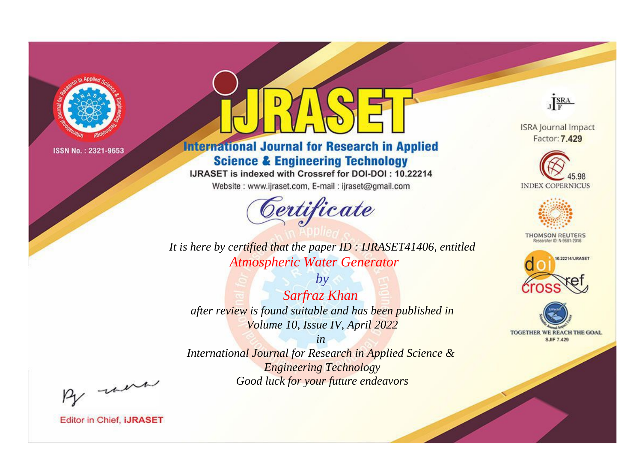

# **International Journal for Research in Applied Science & Engineering Technology**

IJRASET is indexed with Crossref for DOI-DOI: 10.22214

Website: www.ijraset.com, E-mail: ijraset@gmail.com



**ISRA Journal Impact** Factor: 7.429

JERA





**THOMSON REUTERS** 



TOGETHER WE REACH THE GOAL **SJIF 7.429** 

*It is here by certified that the paper ID : IJRASET41406, entitled Atmospheric Water Generator*

*by Sarfraz Khan after review is found suitable and has been published in Volume 10, Issue IV, April 2022*

*in* 

*International Journal for Research in Applied Science & Engineering Technology Good luck for your future endeavors*

By morn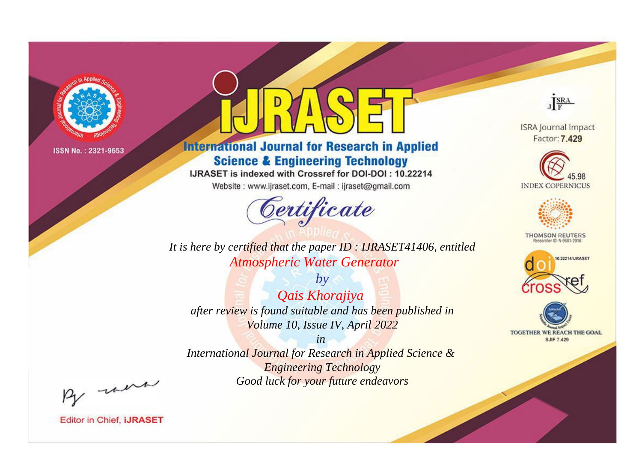

# **International Journal for Research in Applied Science & Engineering Technology**

IJRASET is indexed with Crossref for DOI-DOI: 10.22214

Website: www.ijraset.com, E-mail: ijraset@gmail.com



**ISRA Journal Impact** 

JERA

Factor: 7.429





**THOMSON REUTERS** 



TOGETHER WE REACH THE GOAL **SJIF 7.429** 

*It is here by certified that the paper ID : IJRASET41406, entitled Atmospheric Water Generator*

*by Qais Khorajiya after review is found suitable and has been published in Volume 10, Issue IV, April 2022*

*in* 

*International Journal for Research in Applied Science & Engineering Technology Good luck for your future endeavors*

By morn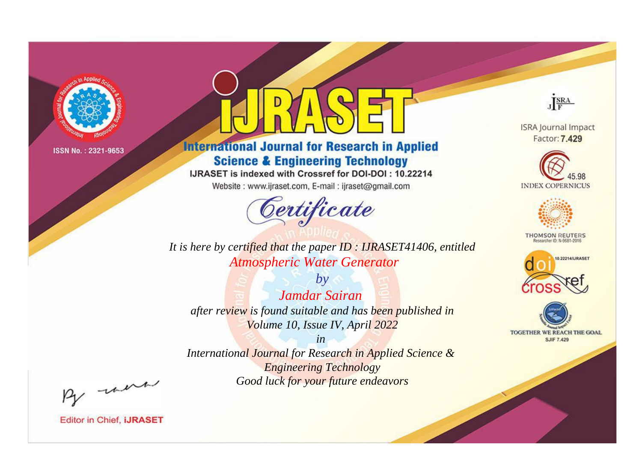

# **International Journal for Research in Applied Science & Engineering Technology**

IJRASET is indexed with Crossref for DOI-DOI: 10.22214

Website: www.ijraset.com, E-mail: ijraset@gmail.com



**ISRA Journal Impact** 

JERA

Factor: 7.429





**THOMSON REUTERS** 



TOGETHER WE REACH THE GOAL **SJIF 7.429** 

*It is here by certified that the paper ID : IJRASET41406, entitled Atmospheric Water Generator*

*by Jamdar Sairan after review is found suitable and has been published in Volume 10, Issue IV, April 2022*

*in* 

*International Journal for Research in Applied Science & Engineering Technology Good luck for your future endeavors*

By morn